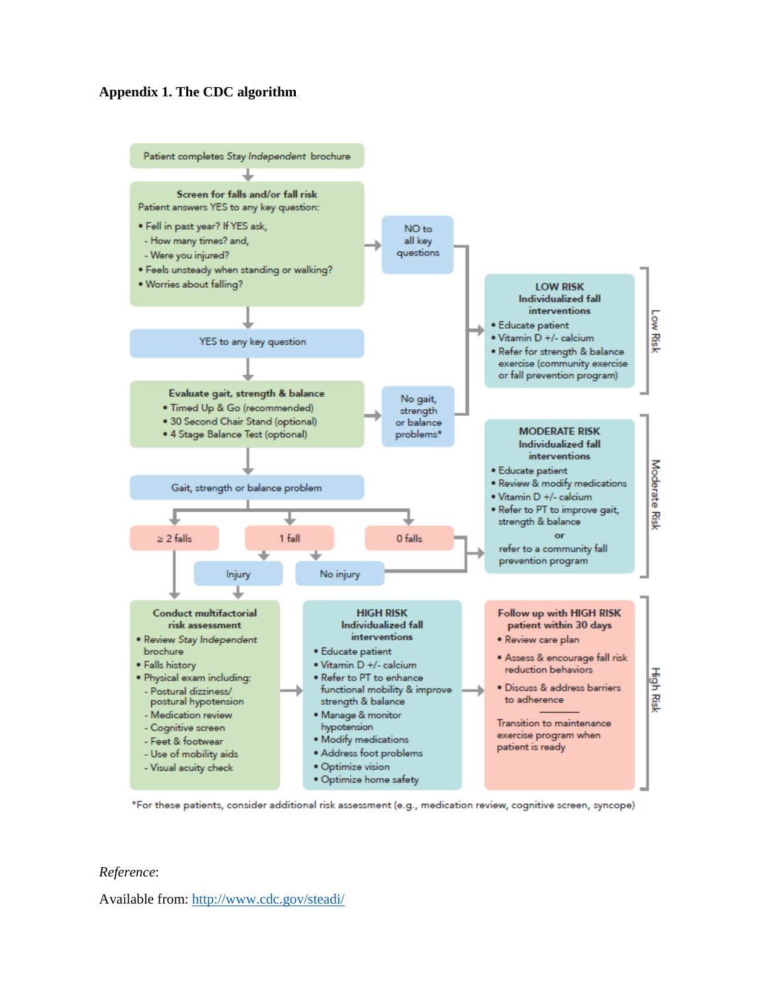#### **Appendix 1. The CDC algorithm**



\*For these patients, consider additional risk assessment (e.g., medication review, cognitive screen, syncope)

#### *Reference*:

Available from: http://www.cdc.gov/steadi/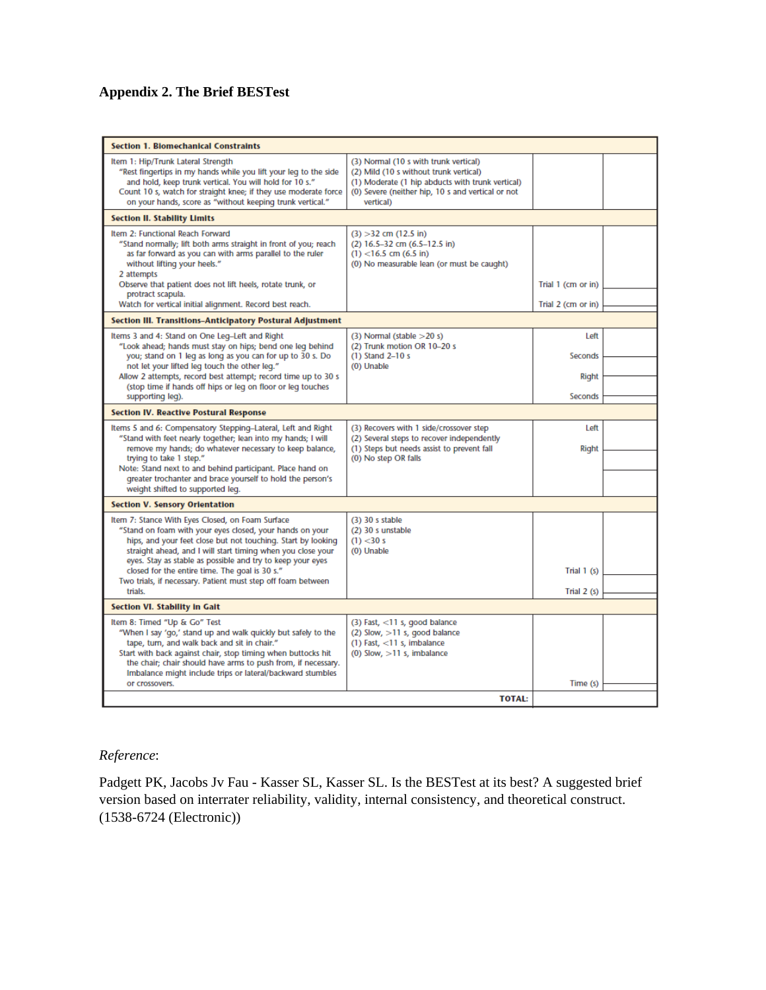## **Appendix 2. The Brief BESTest**

| Item 1: Hip/Trunk Lateral Strength<br>(3) Normal (10 s with trunk vertical)<br>"Rest fingertips in my hands while you lift your leg to the side<br>(2) Mild (10 s without trunk vertical)<br>and hold, keep trunk vertical. You will hold for 10 s."<br>(1) Moderate (1 hip abducts with trunk vertical)<br>(0) Severe (neither hip, 10 s and vertical or not<br>Count 10 s, watch for straight knee; if they use moderate force<br>on your hands, score as "without keeping trunk vertical."<br>vertical)<br><b>Section II. Stability Limits</b><br>Item 2: Functional Reach Forward<br>$(3) > 32$ cm $(12.5 \text{ in})$<br>"Stand normally; lift both arms straight in front of you; reach<br>$(2)$ 16.5-32 cm $(6.5-12.5)$ in)<br>as far forward as you can with arms parallel to the ruler<br>$(1)$ <16.5 cm (6.5 in)<br>without lifting your heels."<br>(0) No measurable lean (or must be caught)<br>2 attempts<br>Observe that patient does not lift heels, rotate trunk, or<br>Trial 1 (cm or in)<br>protract scapula.<br>Watch for vertical initial alignment. Record best reach.<br>Trial 2 (cm or in)<br>Section III. Transitions-Anticipatory Postural Adjustment<br>Items 3 and 4: Stand on One Leg-Left and Right<br>$(3)$ Normal (stable $>20$ s)<br>Left<br>"Look ahead; hands must stay on hips; bend one leg behind<br>(2) Trunk motion OR 10-20 s<br>$(1)$ Stand 2-10 s<br><b>Seconds</b><br>you; stand on 1 leg as long as you can for up to 30 s. Do<br>not let your lifted leg touch the other leg."<br>(0) Unable<br>Allow 2 attempts, record best attempt; record time up to 30 s<br><b>Right</b><br>(stop time if hands off hips or leg on floor or leg touches<br><b>Seconds</b><br>supporting leg).<br><b>Section IV. Reactive Postural Response</b><br>Items 5 and 6: Compensatory Stepping-Lateral, Left and Right<br>(3) Recovers with 1 side/crossover step<br>Left<br>"Stand with feet nearly together; lean into my hands; I will<br>(2) Several steps to recover independently<br>remove my hands; do whatever necessary to keep balance,<br>(1) Steps but needs assist to prevent fall<br>Right<br>trying to take 1 step."<br>(0) No step OR falls<br>Note: Stand next to and behind participant. Place hand on<br>greater trochanter and brace yourself to hold the person's<br>weight shifted to supported leg.<br><b>Section V. Sensory Orientation</b><br>Item 7: Stance With Eyes Closed, on Foam Surface<br>$(3)$ 30 s stable<br>(2) 30 s unstable<br>"Stand on foam with your eyes closed, your hands on your<br>hips, and your feet close but not touching. Start by looking<br>$(1)$ < 30 s<br>straight ahead, and I will start timing when you close your<br>(0) Unable<br>eyes. Stay as stable as possible and try to keep your eyes<br>closed for the entire time. The goal is 30 s."<br>Trial $1(s)$<br>Two trials, if necessary. Patient must step off foam between<br>trials.<br>Trial $2(s)$<br>Section VI. Stability in Gait<br>Item 8: Timed "Up & Go" Test<br>$(3)$ Fast, $<$ 11 s, good balance<br>"When I say 'go,' stand up and walk quickly but safely to the<br>$(2)$ Slow, $>11$ s, good balance<br>tape, turn, and walk back and sit in chair."<br>$(1)$ Fast, $<$ 11 s, imbalance<br>(0) Slow, $>11$ s, imbalance<br>Start with back against chair, stop timing when buttocks hit<br>the chair; chair should have arms to push from, if necessary.<br>Imbalance might include trips or lateral/backward stumbles<br>Time (s)<br>or crossovers.<br><b>TOTAL:</b> | <b>Section 1. Biomechanical Constraints</b> |  |  |  |  |  |  |  |
|--------------------------------------------------------------------------------------------------------------------------------------------------------------------------------------------------------------------------------------------------------------------------------------------------------------------------------------------------------------------------------------------------------------------------------------------------------------------------------------------------------------------------------------------------------------------------------------------------------------------------------------------------------------------------------------------------------------------------------------------------------------------------------------------------------------------------------------------------------------------------------------------------------------------------------------------------------------------------------------------------------------------------------------------------------------------------------------------------------------------------------------------------------------------------------------------------------------------------------------------------------------------------------------------------------------------------------------------------------------------------------------------------------------------------------------------------------------------------------------------------------------------------------------------------------------------------------------------------------------------------------------------------------------------------------------------------------------------------------------------------------------------------------------------------------------------------------------------------------------------------------------------------------------------------------------------------------------------------------------------------------------------------------------------------------------------------------------------------------------------------------------------------------------------------------------------------------------------------------------------------------------------------------------------------------------------------------------------------------------------------------------------------------------------------------------------------------------------------------------------------------------------------------------------------------------------------------------------------------------------------------------------------------------------------------------------------------------------------------------------------------------------------------------------------------------------------------------------------------------------------------------------------------------------------------------------------------------------------------------------------------------------------------------------------------------------------------------------------------------------------------------------------------------------------------------------------------------------------------------------------------------------------------------------------------------------------------------------------------------------------------------------------------------------------------------------------------------------------------------------------------------------------------|---------------------------------------------|--|--|--|--|--|--|--|
|                                                                                                                                                                                                                                                                                                                                                                                                                                                                                                                                                                                                                                                                                                                                                                                                                                                                                                                                                                                                                                                                                                                                                                                                                                                                                                                                                                                                                                                                                                                                                                                                                                                                                                                                                                                                                                                                                                                                                                                                                                                                                                                                                                                                                                                                                                                                                                                                                                                                                                                                                                                                                                                                                                                                                                                                                                                                                                                                                                                                                                                                                                                                                                                                                                                                                                                                                                                                                                                                                                                                |                                             |  |  |  |  |  |  |  |
|                                                                                                                                                                                                                                                                                                                                                                                                                                                                                                                                                                                                                                                                                                                                                                                                                                                                                                                                                                                                                                                                                                                                                                                                                                                                                                                                                                                                                                                                                                                                                                                                                                                                                                                                                                                                                                                                                                                                                                                                                                                                                                                                                                                                                                                                                                                                                                                                                                                                                                                                                                                                                                                                                                                                                                                                                                                                                                                                                                                                                                                                                                                                                                                                                                                                                                                                                                                                                                                                                                                                |                                             |  |  |  |  |  |  |  |
|                                                                                                                                                                                                                                                                                                                                                                                                                                                                                                                                                                                                                                                                                                                                                                                                                                                                                                                                                                                                                                                                                                                                                                                                                                                                                                                                                                                                                                                                                                                                                                                                                                                                                                                                                                                                                                                                                                                                                                                                                                                                                                                                                                                                                                                                                                                                                                                                                                                                                                                                                                                                                                                                                                                                                                                                                                                                                                                                                                                                                                                                                                                                                                                                                                                                                                                                                                                                                                                                                                                                |                                             |  |  |  |  |  |  |  |
|                                                                                                                                                                                                                                                                                                                                                                                                                                                                                                                                                                                                                                                                                                                                                                                                                                                                                                                                                                                                                                                                                                                                                                                                                                                                                                                                                                                                                                                                                                                                                                                                                                                                                                                                                                                                                                                                                                                                                                                                                                                                                                                                                                                                                                                                                                                                                                                                                                                                                                                                                                                                                                                                                                                                                                                                                                                                                                                                                                                                                                                                                                                                                                                                                                                                                                                                                                                                                                                                                                                                |                                             |  |  |  |  |  |  |  |
|                                                                                                                                                                                                                                                                                                                                                                                                                                                                                                                                                                                                                                                                                                                                                                                                                                                                                                                                                                                                                                                                                                                                                                                                                                                                                                                                                                                                                                                                                                                                                                                                                                                                                                                                                                                                                                                                                                                                                                                                                                                                                                                                                                                                                                                                                                                                                                                                                                                                                                                                                                                                                                                                                                                                                                                                                                                                                                                                                                                                                                                                                                                                                                                                                                                                                                                                                                                                                                                                                                                                |                                             |  |  |  |  |  |  |  |
|                                                                                                                                                                                                                                                                                                                                                                                                                                                                                                                                                                                                                                                                                                                                                                                                                                                                                                                                                                                                                                                                                                                                                                                                                                                                                                                                                                                                                                                                                                                                                                                                                                                                                                                                                                                                                                                                                                                                                                                                                                                                                                                                                                                                                                                                                                                                                                                                                                                                                                                                                                                                                                                                                                                                                                                                                                                                                                                                                                                                                                                                                                                                                                                                                                                                                                                                                                                                                                                                                                                                |                                             |  |  |  |  |  |  |  |
|                                                                                                                                                                                                                                                                                                                                                                                                                                                                                                                                                                                                                                                                                                                                                                                                                                                                                                                                                                                                                                                                                                                                                                                                                                                                                                                                                                                                                                                                                                                                                                                                                                                                                                                                                                                                                                                                                                                                                                                                                                                                                                                                                                                                                                                                                                                                                                                                                                                                                                                                                                                                                                                                                                                                                                                                                                                                                                                                                                                                                                                                                                                                                                                                                                                                                                                                                                                                                                                                                                                                |                                             |  |  |  |  |  |  |  |
|                                                                                                                                                                                                                                                                                                                                                                                                                                                                                                                                                                                                                                                                                                                                                                                                                                                                                                                                                                                                                                                                                                                                                                                                                                                                                                                                                                                                                                                                                                                                                                                                                                                                                                                                                                                                                                                                                                                                                                                                                                                                                                                                                                                                                                                                                                                                                                                                                                                                                                                                                                                                                                                                                                                                                                                                                                                                                                                                                                                                                                                                                                                                                                                                                                                                                                                                                                                                                                                                                                                                |                                             |  |  |  |  |  |  |  |
|                                                                                                                                                                                                                                                                                                                                                                                                                                                                                                                                                                                                                                                                                                                                                                                                                                                                                                                                                                                                                                                                                                                                                                                                                                                                                                                                                                                                                                                                                                                                                                                                                                                                                                                                                                                                                                                                                                                                                                                                                                                                                                                                                                                                                                                                                                                                                                                                                                                                                                                                                                                                                                                                                                                                                                                                                                                                                                                                                                                                                                                                                                                                                                                                                                                                                                                                                                                                                                                                                                                                |                                             |  |  |  |  |  |  |  |
|                                                                                                                                                                                                                                                                                                                                                                                                                                                                                                                                                                                                                                                                                                                                                                                                                                                                                                                                                                                                                                                                                                                                                                                                                                                                                                                                                                                                                                                                                                                                                                                                                                                                                                                                                                                                                                                                                                                                                                                                                                                                                                                                                                                                                                                                                                                                                                                                                                                                                                                                                                                                                                                                                                                                                                                                                                                                                                                                                                                                                                                                                                                                                                                                                                                                                                                                                                                                                                                                                                                                |                                             |  |  |  |  |  |  |  |
|                                                                                                                                                                                                                                                                                                                                                                                                                                                                                                                                                                                                                                                                                                                                                                                                                                                                                                                                                                                                                                                                                                                                                                                                                                                                                                                                                                                                                                                                                                                                                                                                                                                                                                                                                                                                                                                                                                                                                                                                                                                                                                                                                                                                                                                                                                                                                                                                                                                                                                                                                                                                                                                                                                                                                                                                                                                                                                                                                                                                                                                                                                                                                                                                                                                                                                                                                                                                                                                                                                                                |                                             |  |  |  |  |  |  |  |
|                                                                                                                                                                                                                                                                                                                                                                                                                                                                                                                                                                                                                                                                                                                                                                                                                                                                                                                                                                                                                                                                                                                                                                                                                                                                                                                                                                                                                                                                                                                                                                                                                                                                                                                                                                                                                                                                                                                                                                                                                                                                                                                                                                                                                                                                                                                                                                                                                                                                                                                                                                                                                                                                                                                                                                                                                                                                                                                                                                                                                                                                                                                                                                                                                                                                                                                                                                                                                                                                                                                                |                                             |  |  |  |  |  |  |  |

### *Reference*:

Padgett PK, Jacobs Jv Fau - Kasser SL, Kasser SL. Is the BESTest at its best? A suggested brief version based on interrater reliability, validity, internal consistency, and theoretical construct. (1538-6724 (Electronic))